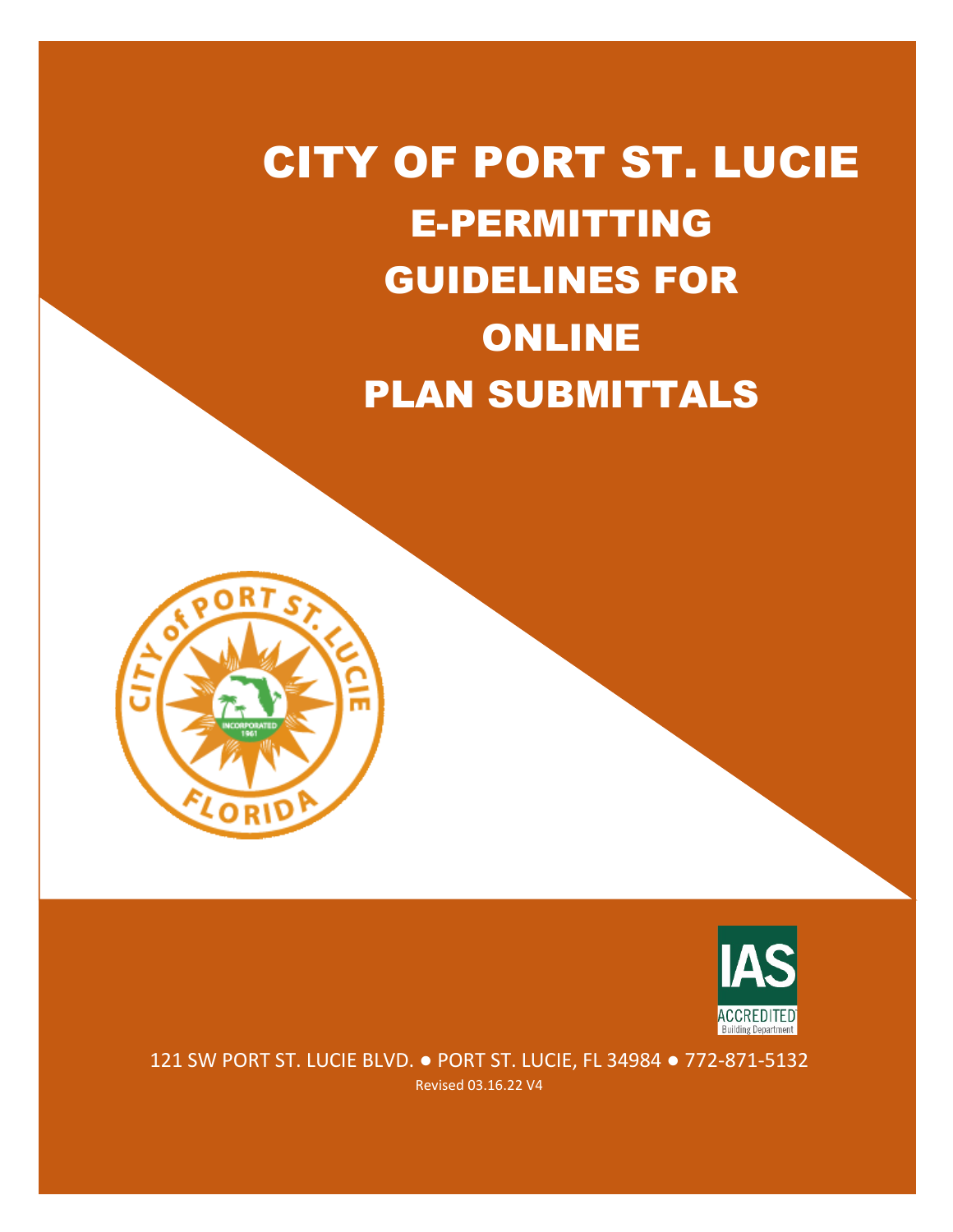# CITY OF PORT ST. LUCIE E-PERMITTING GUIDELINES FOR ONLINE PLAN SUBMITTALS





121 SW PORT ST. LUCIE BLVD. ● PORT ST. LUCIE, FL 34984 ● 772-871-5132 Revised 03.16.22 V4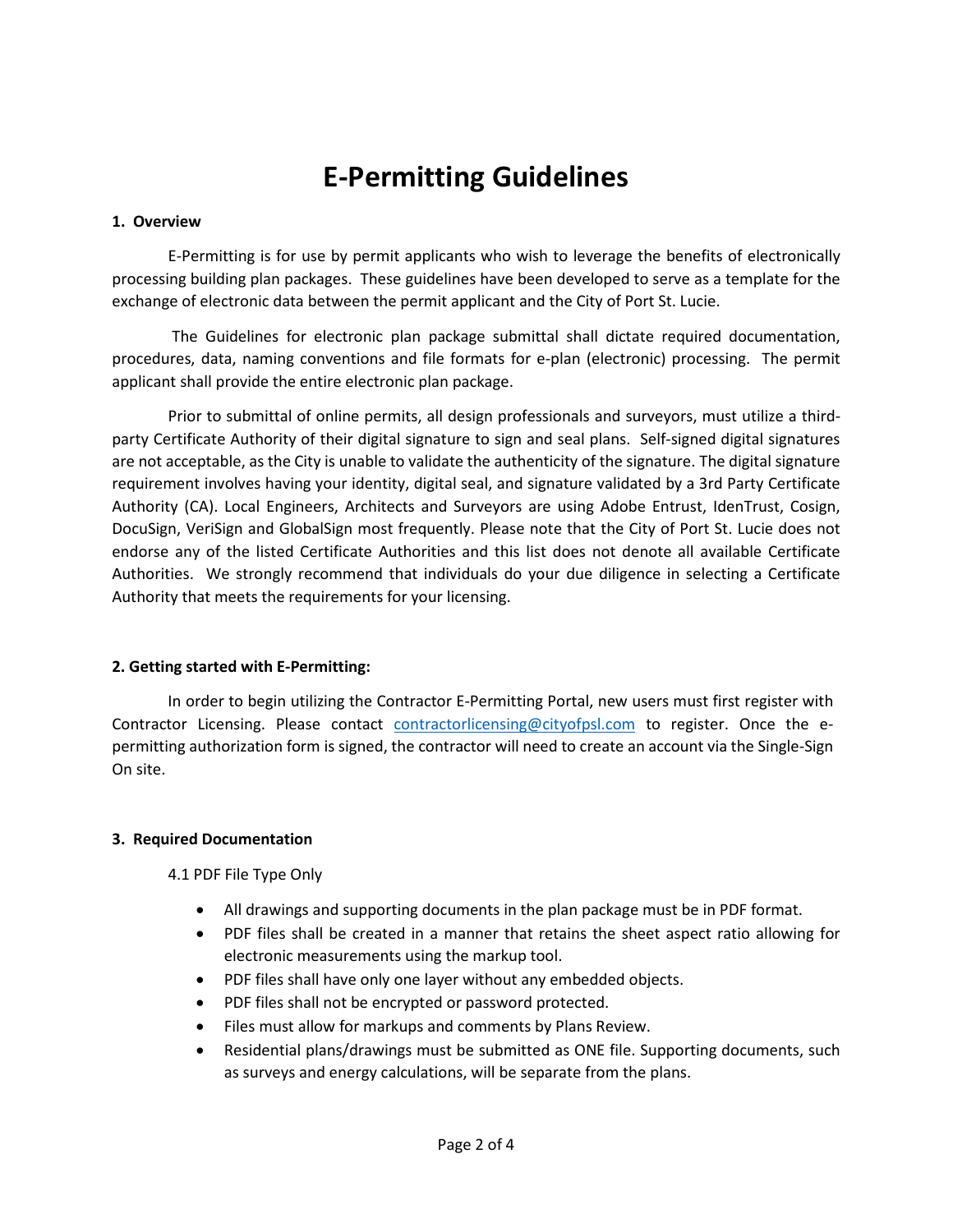# **E-Permitting Guidelines**

#### **1. Overview**

E-Permitting is for use by permit applicants who wish to leverage the benefits of electronically processing building plan packages. These guidelines have been developed to serve as a template for the exchange of electronic data between the permit applicant and the City of Port St. Lucie.

The Guidelines for electronic plan package submittal shall dictate required documentation, procedures, data, naming conventions and file formats for e-plan (electronic) processing. The permit applicant shall provide the entire electronic plan package.

Prior to submittal of online permits, all design professionals and surveyors, must utilize a thirdparty Certificate Authority of their digital signature to sign and seal plans. Self-signed digital signatures are not acceptable, as the City is unable to validate the authenticity of the signature. The digital signature requirement involves having your identity, digital seal, and signature validated by a 3rd Party Certificate Authority (CA). Local Engineers, Architects and Surveyors are using Adobe Entrust, IdenTrust, Cosign, DocuSign, VeriSign and GlobalSign most frequently. Please note that the City of Port St. Lucie does not endorse any of the listed Certificate Authorities and this list does not denote all available Certificate Authorities. We strongly recommend that individuals do your due diligence in selecting a Certificate Authority that meets the requirements for your licensing.

## **2. Getting started with E-Permitting:**

In order to begin utilizing the Contractor E-Permitting Portal, new users must first register with Contractor Licensing. Please contact [contractorlicensing@cityofpsl.com](mailto:contractorlicensing@cityofpsl.com) to register. Once the epermitting authorization form is signed, the contractor will need to create an account via the Single-Sign On site.

#### **3. Required Documentation**

4.1 PDF File Type Only

- All drawings and supporting documents in the plan package must be in PDF format.
- PDF files shall be created in a manner that retains the sheet aspect ratio allowing for electronic measurements using the markup tool.
- PDF files shall have only one layer without any embedded objects.
- PDF files shall not be encrypted or password protected.
- Files must allow for markups and comments by Plans Review.
- Residential plans/drawings must be submitted as ONE file. Supporting documents, such as surveys and energy calculations, will be separate from the plans.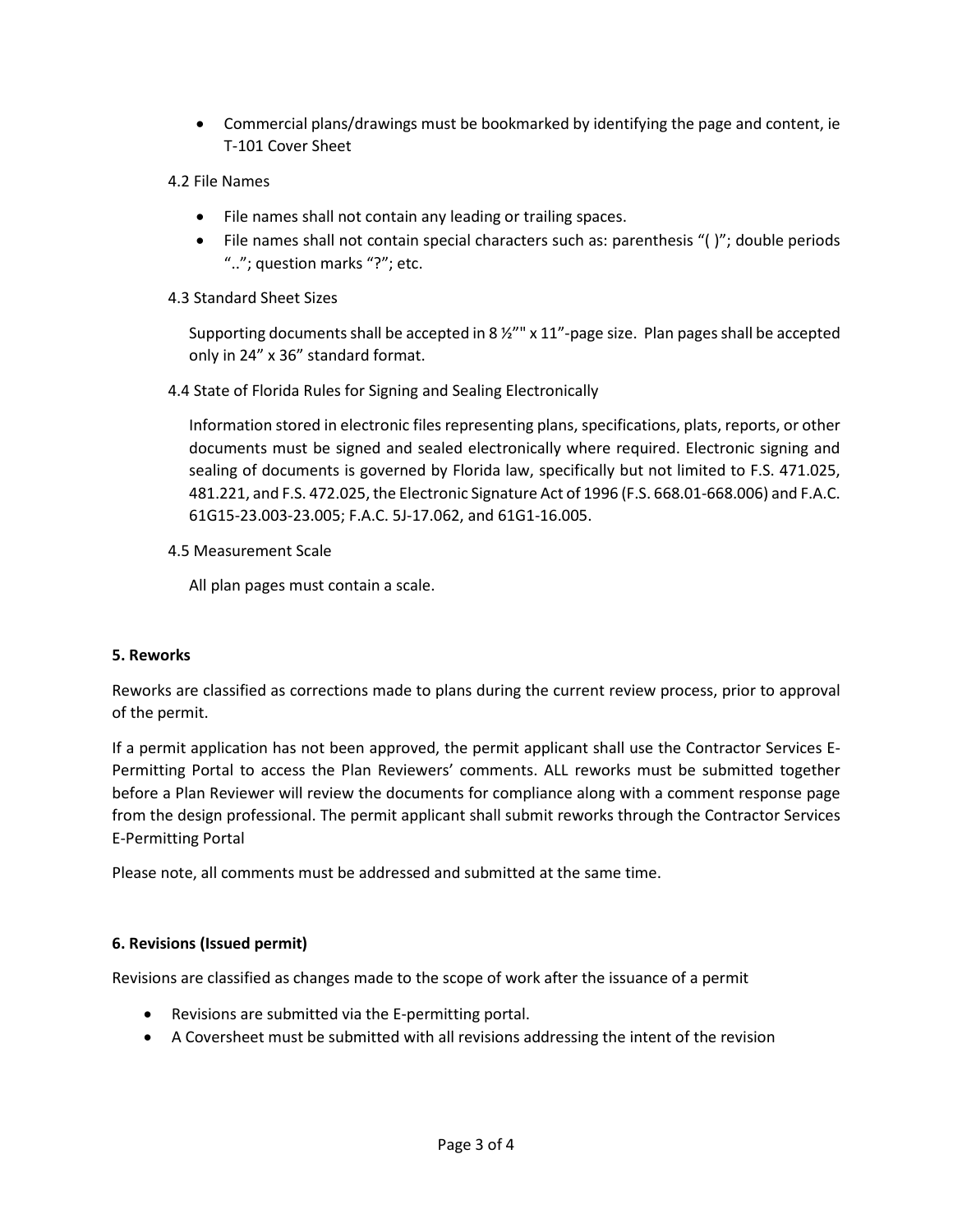- Commercial plans/drawings must be bookmarked by identifying the page and content, ie T-101 Cover Sheet
- 4.2 File Names
	- File names shall not contain any leading or trailing spaces.
	- File names shall not contain special characters such as: parenthesis "( )"; double periods ".."; question marks "?"; etc.
- 4.3 Standard Sheet Sizes

Supporting documents shall be accepted in 8 ½"" x 11"-page size. Plan pages shall be accepted only in 24" x 36" standard format.

4.4 State of Florida Rules for Signing and Sealing Electronically

Information stored in electronic files representing plans, specifications, plats, reports, or other documents must be signed and sealed electronically where required. Electronic signing and sealing of documents is governed by Florida law, specifically but not limited to F.S. 471.025, 481.221, and F.S. 472.025, the Electronic Signature Act of 1996 (F.S. 668.01-668.006) and F.A.C. 61G15-23.003-23.005; F.A.C. 5J-17.062, and 61G1-16.005.

4.5 Measurement Scale

All plan pages must contain a scale.

#### **5. Reworks**

Reworks are classified as corrections made to plans during the current review process, prior to approval of the permit.

If a permit application has not been approved, the permit applicant shall use the Contractor Services E-Permitting Portal to access the Plan Reviewers' comments. ALL reworks must be submitted together before a Plan Reviewer will review the documents for compliance along with a comment response page from the design professional. The permit applicant shall submit reworks through the Contractor Services E-Permitting Portal

Please note, all comments must be addressed and submitted at the same time.

#### **6. Revisions (Issued permit)**

Revisions are classified as changes made to the scope of work after the issuance of a permit

- Revisions are submitted via the E-permitting portal.
- A Coversheet must be submitted with all revisions addressing the intent of the revision